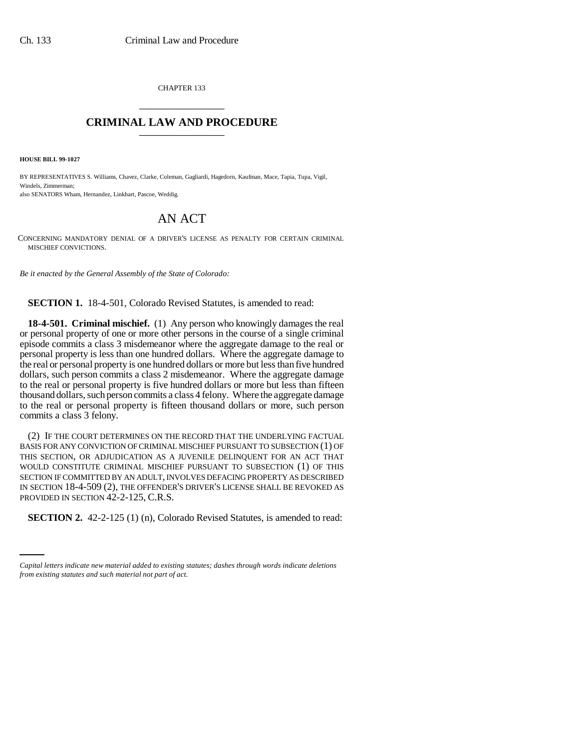CHAPTER 133 \_\_\_\_\_\_\_\_\_\_\_\_\_\_\_

## **CRIMINAL LAW AND PROCEDURE** \_\_\_\_\_\_\_\_\_\_\_\_\_\_\_

**HOUSE BILL 99-1027**

BY REPRESENTATIVES S. Williams, Chavez, Clarke, Coleman, Gagliardi, Hagedorn, Kaufman, Mace, Tapia, Tupa, Vigil, Windels, Zimmerman; also SENATORS Wham, Hernandez, Linkhart, Pascoe, Weddig.

## AN ACT

CONCERNING MANDATORY DENIAL OF A DRIVER'S LICENSE AS PENALTY FOR CERTAIN CRIMINAL MISCHIEF CONVICTIONS.

*Be it enacted by the General Assembly of the State of Colorado:*

**SECTION 1.** 18-4-501, Colorado Revised Statutes, is amended to read:

**18-4-501. Criminal mischief.** (1) Any person who knowingly damages the real or personal property of one or more other persons in the course of a single criminal episode commits a class 3 misdemeanor where the aggregate damage to the real or personal property is less than one hundred dollars. Where the aggregate damage to the real or personal property is one hundred dollars or more but less than five hundred dollars, such person commits a class 2 misdemeanor. Where the aggregate damage to the real or personal property is five hundred dollars or more but less than fifteen thousand dollars, such person commits a class 4 felony. Where the aggregate damage to the real or personal property is fifteen thousand dollars or more, such person commits a class 3 felony.

(2) IF THE COURT DETERMINES ON THE RECORD THAT THE UNDERLYING FACTUAL BASIS FOR ANY CONVICTION OF CRIMINAL MISCHIEF PURSUANT TO SUBSECTION (1) OF THIS SECTION, OR ADJUDICATION AS A JUVENILE DELINQUENT FOR AN ACT THAT WOULD CONSTITUTE CRIMINAL MISCHIEF PURSUANT TO SUBSECTION (1) OF THIS SECTION IF COMMITTED BY AN ADULT, INVOLVES DEFACING PROPERTY AS DESCRIBED IN SECTION 18-4-509 (2), THE OFFENDER'S DRIVER'S LICENSE SHALL BE REVOKED AS PROVIDED IN SECTION 42-2-125, C.R.S.

**SECTION 2.** 42-2-125 (1) (n), Colorado Revised Statutes, is amended to read:

*Capital letters indicate new material added to existing statutes; dashes through words indicate deletions from existing statutes and such material not part of act.*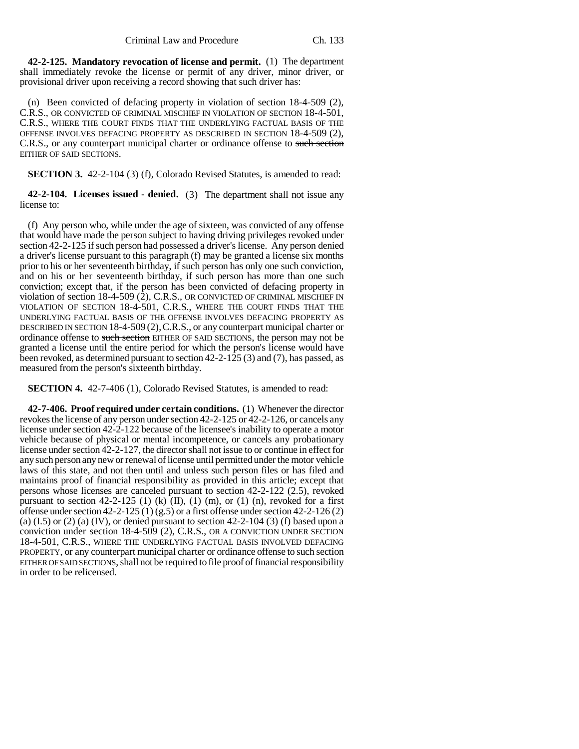**42-2-125. Mandatory revocation of license and permit.** (1) The department shall immediately revoke the license or permit of any driver, minor driver, or provisional driver upon receiving a record showing that such driver has:

(n) Been convicted of defacing property in violation of section 18-4-509 (2), C.R.S., OR CONVICTED OF CRIMINAL MISCHIEF IN VIOLATION OF SECTION 18-4-501, C.R.S., WHERE THE COURT FINDS THAT THE UNDERLYING FACTUAL BASIS OF THE OFFENSE INVOLVES DEFACING PROPERTY AS DESCRIBED IN SECTION 18-4-509 (2), C.R.S., or any counterpart municipal charter or ordinance offense to such section EITHER OF SAID SECTIONS.

**SECTION 3.** 42-2-104 (3) (f), Colorado Revised Statutes, is amended to read:

**42-2-104. Licenses issued - denied.** (3) The department shall not issue any license to:

(f) Any person who, while under the age of sixteen, was convicted of any offense that would have made the person subject to having driving privileges revoked under section 42-2-125 if such person had possessed a driver's license. Any person denied a driver's license pursuant to this paragraph (f) may be granted a license six months prior to his or her seventeenth birthday, if such person has only one such conviction, and on his or her seventeenth birthday, if such person has more than one such conviction; except that, if the person has been convicted of defacing property in violation of section 18-4-509 (2), C.R.S., OR CONVICTED OF CRIMINAL MISCHIEF IN VIOLATION OF SECTION 18-4-501, C.R.S., WHERE THE COURT FINDS THAT THE UNDERLYING FACTUAL BASIS OF THE OFFENSE INVOLVES DEFACING PROPERTY AS DESCRIBED IN SECTION 18-4-509 (2),C.R.S., or any counterpart municipal charter or ordinance offense to such section EITHER OF SAID SECTIONS, the person may not be granted a license until the entire period for which the person's license would have been revoked, as determined pursuant to section  $42-2-125(3)$  and  $(7)$ , has passed, as measured from the person's sixteenth birthday.

**SECTION 4.** 42-7-406 (1), Colorado Revised Statutes, is amended to read:

**42-7-406. Proof required under certain conditions.** (1) Whenever the director revokes the license of any person under section 42-2-125 or 42-2-126, or cancels any license under section 42-2-122 because of the licensee's inability to operate a motor vehicle because of physical or mental incompetence, or cancels any probationary license under section 42-2-127, the director shall not issue to or continue in effect for any such person any new or renewal of license until permitted under the motor vehicle laws of this state, and not then until and unless such person files or has filed and maintains proof of financial responsibility as provided in this article; except that persons whose licenses are canceled pursuant to section 42-2-122 (2.5), revoked pursuant to section  $42-2-125$  (1) (k) (II), (1) (m), or (1) (n), revoked for a first offense under section  $42-2-125(1)(8.5)$  or a first offense under section  $42-2-126(2)$ (a)  $(1.5)$  or  $(2)$  (a)  $(IV)$ , or denied pursuant to section 42-2-104  $(3)$  (f) based upon a conviction under section 18-4-509 (2), C.R.S., OR A CONVICTION UNDER SECTION 18-4-501, C.R.S., WHERE THE UNDERLYING FACTUAL BASIS INVOLVED DEFACING PROPERTY, or any counterpart municipal charter or ordinance offense to such section EITHER OF SAID SECTIONS, shall not be required to file proof of financial responsibility in order to be relicensed.